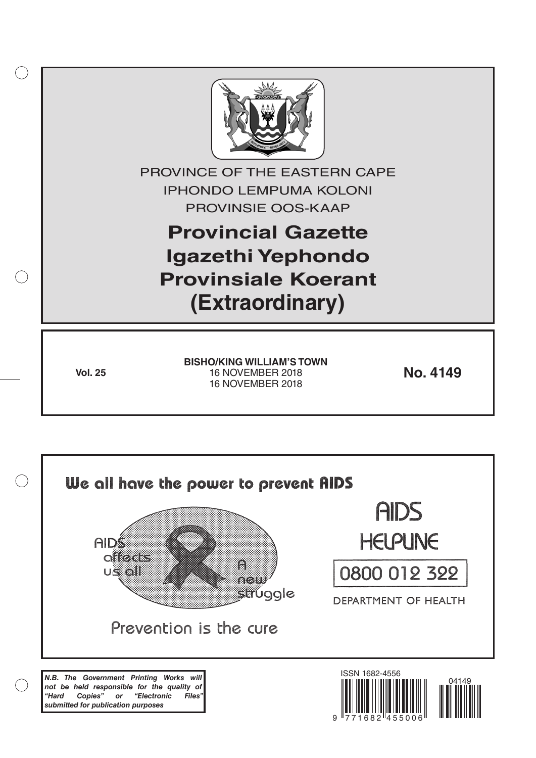

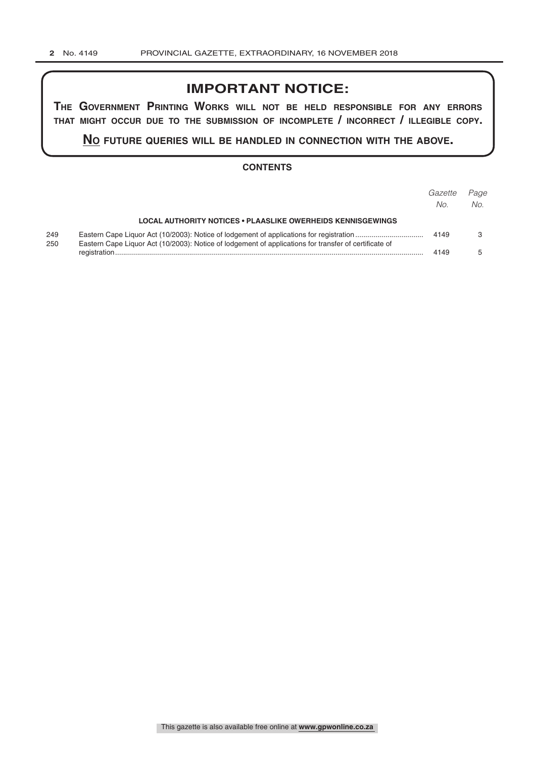## **IMPORTANT NOTICE:**

**The GovernmenT PrinTinG Works Will noT be held resPonsible for any errors ThaT miGhT occur due To The submission of incomPleTe / incorrecT / illeGible coPy.**

**no fuTure queries Will be handled in connecTion WiTh The above.**

### **CONTENTS**

|            |                                                                                                       | Gazette<br>No. | Page<br>No. |
|------------|-------------------------------------------------------------------------------------------------------|----------------|-------------|
|            | <b>LOCAL AUTHORITY NOTICES • PLAASLIKE OWERHEIDS KENNISGEWINGS</b>                                    |                |             |
| 249<br>250 | Eastern Cape Liquor Act (10/2003): Notice of lodgement of applications for transfer of certificate of | 4149           |             |
|            |                                                                                                       | 4149           |             |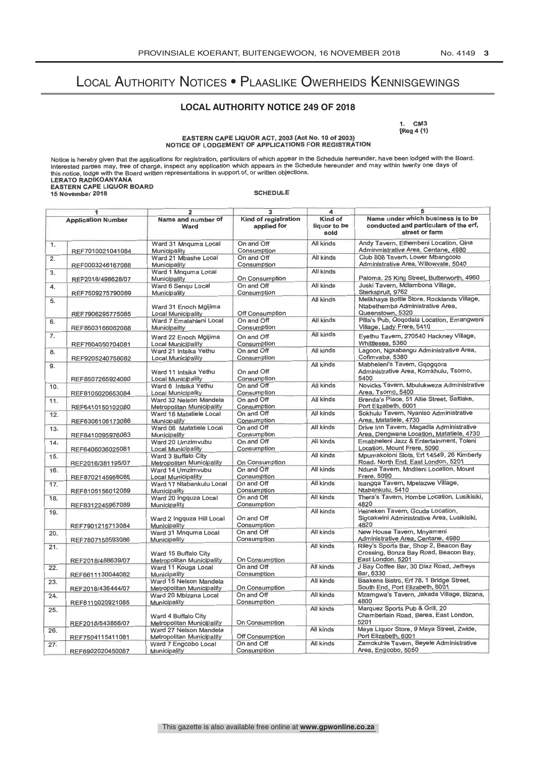# Local Authority Notices • Plaaslike Owerheids Kennisgewings

### **LOCAL AUTHORITY NOTICE 249 OF 2018**

1. CM3 [Reg 4 (1)

EASTERN CAPE LIQUOR ACT, 2003 (Act No. 10 of 2003) NOTICE OF LODGEMENT OF APPLICATIONS FOR REGISTRATION

Notice is hereby given that the applications for registration, particulars of which appear in the Schedule hereunder, have been lodged with the Board.<br>Interested parties may, free of charge, inspect any application which a

EASTERN CAPE LIQUOR BOARD<br>15 November 2018

 $\overline{1}$ 

|                           | п                 | z                                                          |                                     | 4                                      |                                                                                                      |  |
|---------------------------|-------------------|------------------------------------------------------------|-------------------------------------|----------------------------------------|------------------------------------------------------------------------------------------------------|--|
| <b>Application Number</b> |                   | Name and number of<br>Ward                                 | Kind of registration<br>applied for | <b>Kind of</b><br>liquor to be<br>sold | Name under which business is to be<br>conducted and particulars of the erf,<br>street or farm        |  |
| 1.                        | REF7010021041084  | Ward 31 Mnquma Local<br><b>Municipality</b>                | On and Off<br>Consumption           | All kinds                              | Andy Tavern, Ethembeni Location, Qina<br>Adminmistrative Area, Centane, 4980                         |  |
| 2.                        | REF0003246167088  | Ward 21 Mbashe Local<br>Municipality                       | On and Off<br>Consumption           | All kinds                              | Club 808 Tavern, Lower Mbangcolo<br>Administrative Area, Willowvale, 5040                            |  |
| 3.                        | REF2018/498628/07 | Ward 1 Mnguma Local<br>Municipality                        | On Consumption                      | All kinds                              | Paloma, 25 King Street, Butterworth, 4960                                                            |  |
| 4.                        | REF7509275790089  | Ward 6 Senqu Local<br>Municipality                         | On and Off<br>Consumption           | All kinds                              | Juski Tavern, Mdlambona Village,<br>Sterkspruit, 9762                                                |  |
| 5.                        | REF7906295775085  | Ward 31 Enoch Mgijima<br><b>Local Municipality</b>         | Off Consumption                     | All kinds                              | Melikhaya Bottle Store, Rocklands Village,<br>Ntabethemba Administrative Area,<br>Queenstown, 5320   |  |
| 6.                        | REF8503166062088  | Ward 7 Emalahleni Local<br>Municipality                    | On and Off<br>Consumption           | All kinds                              | Pilla's Pub, Qoqodala Location, Emangweni<br>Village, Lady Frere, 5410                               |  |
| 7.                        | REF7604050704081  | Ward 22 Enoch Mgijima<br><b>Local Municipality</b>         | On and Off<br>Consumption           | All kinds                              | Eyethu Tavern, 270540 Hackney Village,<br>Whittlesea, 5360                                           |  |
| 8.                        | REF9205240758082  | Ward 21 Intsika Yethu<br><b>Local Municipality</b>         | On and Off<br>Consumption           | All kinds                              | Lagoon, Ngxabangu Administrative Area,<br>Cofimvaba, 5380                                            |  |
| 9.                        | REF8507265924080  | Ward 11 Intsika Yethu<br><b>Local Municipality</b>         | On and Off<br>Consumption           | All kinds                              | Mabheleni's Tavern, Gqogqora<br>Administrative Area, Komkhulu, Tsomo,<br>5400                        |  |
| 10.                       | REF8105020653084  | Ward 6 Intsika Yethu<br><b>Local Municipality</b>          | On and Off<br>Consumption           | All kinds                              | Novicks Tavern, Mbulukweza Administrative<br>Area, Tsomo, 5400                                       |  |
| 11.                       | REF6410150102080  | Ward 32 Nelson Mandela<br><b>Metropolitan Municipality</b> | On and Off<br>Consumption           | All kinds                              | Brenda's Place, 51 Allie Street, Saltlake,<br>Port Elizabeth, 6001                                   |  |
| 12.                       | REF6306106173086  | Ward 18 Matatiele Local<br>Municipality                    | On and Off<br>Consumption           | All kinds                              | Sokhulu Tavern, Nyaniso Administrative<br>Area, Matatiele, 4730                                      |  |
| 13.                       | REF8410095976083  | Ward 06 Matatiele Local<br>Municipality                    | On and Off<br>Consumption           | All kinds                              | Drive Inn Tavern, Magadla Administrative<br>Area, Dengwane Location, Matatiele, 4730                 |  |
| 14.                       | REF6406036025081  | Ward 20 Umzimvubu<br><b>Local Municipality</b>             | On and Off<br>Consumption           | All kinds                              | Emabheleni Jazz & Entertainment, Toleni<br>Location, Mount Frere, 5090                               |  |
| 15.                       | REF2016/381195/07 | Ward 3 Buffalo City<br>Metropolitan Municipality           | On Consumption                      | All kinds                              | Mpumakoloni Slots, Erf 14549, 26 Kimberly<br>Road, North End, East London, 5201                      |  |
| 16.                       | REF8702145956085  | Ward 14 Umzimvubu<br><b>Local Municipality</b>             | On and Off<br>Consumption           | All kinds                              | Nduna Tavern, Mndileni Location, Mount<br>Frere, 5090                                                |  |
| 17.                       | REF8105156012089  | Ward 17 Ntabankulu Local<br>Municipality                   | On and Off<br>Consumption           | All kinds                              | Isangqa Tavern, Mpelazwe Village,<br>Ntabankulu, 5410                                                |  |
| 18.                       | REF8312245967089  | Ward 20 Ingquza Local<br>Municipality                      | On and Off<br>Consumption           | All kinds                              | Thera's Tavern, Hombe Location, Lusikisiki,<br>4820                                                  |  |
| 19.                       | REF7901215713084  | Ward 2 Ingquza Hill Local<br><b>Municipality</b>           | On and Off<br>Consumption           | All kinds                              | Heineken Tavern, Gcuda Location,<br>Sigcakwini Administrative Area, Lusikisiki,<br>4820              |  |
| 20.                       | REF7807150593086  | Ward 31 Mnguma Local<br>Municipality                       | On and Off<br>Consumption           | All kinds                              | New House Tavern, Mnyameni<br>Administrative Area, Centane, 4980                                     |  |
| 21.                       | REF2018/488639/07 | Ward 15 Buffalo City<br><b>Metropolitan Municipality</b>   | On Consumption                      | All kinds                              | Riley's Sports Bar, Shop 2, Beacon Bay<br>Crossing, Bonza Bay Road, Beacon Bay,<br>East London, 5201 |  |
| 22.                       | REF6611130044082  | Ward 11 Kouga Local<br>Municipality                        | On and Off<br>Consumption           | All kinds                              | J Bay Coffee Bar, 30 Diaz Road, Jeffreys<br>Bar, 6330                                                |  |
| 23.                       | REF2018/436444/07 | Ward 15 Nelson Mandela<br>Metropolitan Municipality        | On Consumption                      | All kinds                              | Baakens Bistro, Erf 78, 1 Bridge Street,<br>South End, Port Elizabeth, 6001                          |  |
| 24.                       | REF8110020921085  | Ward 20 Mbizana Local<br>Municipality                      | On and Off<br>Consumption           | All kinds                              | Mzamgwa's Tavern, Jakada Village, Bizana,<br>4800                                                    |  |
| 25.                       | REF2018/543856/07 | Ward 4 Buffalo City<br>Metropolitan Municipality           | On Consumption                      | All kinds                              | Marquez Sports Pub & Grill, 20<br>Chamberlain Road, Berea, East London,<br>5201                      |  |
| 26.                       | REF7504115411081  | Ward 27 Nelson Mandela<br><b>Metropolitan Municipality</b> | Off Consumption                     | All kinds                              | Maya Liquor Store, 9 Maya Street, Zwide,<br>Port Elizabeth, 6001                                     |  |
| $27 -$                    | REF6902020450087  | Ward 7 Engcobo Local<br>Municipality                       | On and Off<br>Consumption           | All kinds                              | Zamokuhle Tavem, Beyele Administrative<br>Area, Engcobo, 5050                                        |  |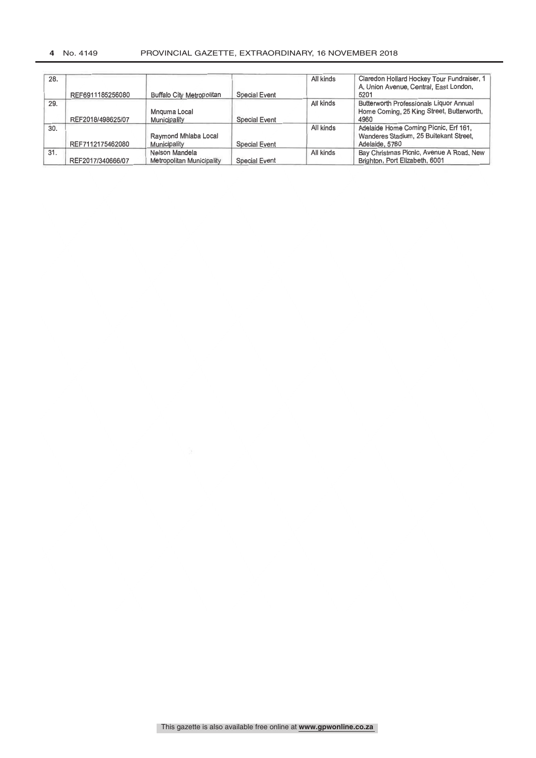| 28. | REF6911185256080  | <b>Buffalo City Metropolitan</b>                   | <b>Special Event</b> | All kinds | Claredon Hollard Hockey Tour Fundraiser, 1<br>A, Union Avenue, Central, East London,<br>5201      |
|-----|-------------------|----------------------------------------------------|----------------------|-----------|---------------------------------------------------------------------------------------------------|
| 29. | REF2018/498625/07 | Mnguma Local<br>Municipality                       | <b>Special Event</b> | All kinds | Butterworth Professionals Liquor Annual<br>Home Coming, 25 King Street, Butterworth,<br>4960      |
| 30. | REF7112175462080  | Raymond Mhlaba Local<br>Municipality               | <b>Special Event</b> | All kinds | Adelaide Home Coming Picnic, Erf 161,<br>Wanderes Stadium, 25 Buitekant Street,<br>Adelaide, 5760 |
| 31. | REF2017/340666/07 | Nelson Mandela<br><b>Metropolitan Municipality</b> | <b>Special Event</b> | All kinds | Bay Christmas Picnic, Avenue A Road, New<br>Brighton, Port Elizabeth, 6001                        |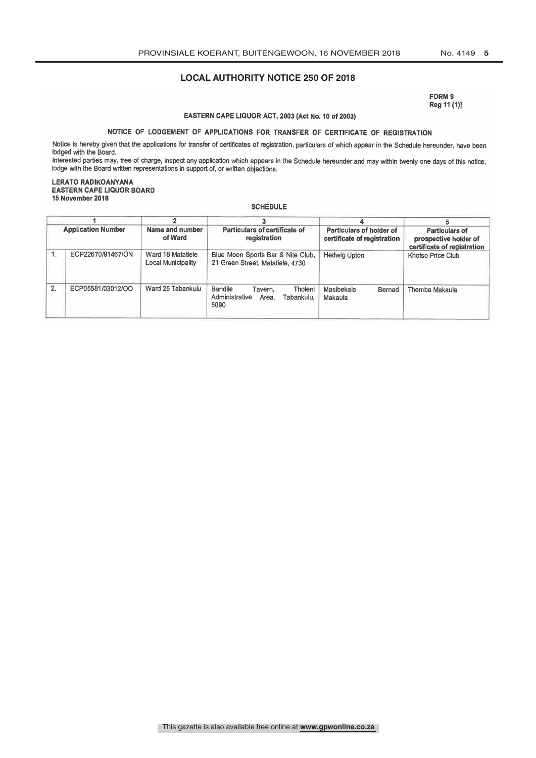### **LOCAL AUTHORITY NOTICE 250 OF 2018**

FORM 9 Reg 11 (1)]

### EASTERN CAPE LIQUOR ACT, 2003 (Act No. 10 of 2003)

### NOTICE OF LODGEMENT OF APPLICATIONS FOR TRANSFER OF CERTIFICATE OF REGISTRATION

Notice is hereby given that the applications for transfer of certificates of registration, particulars of which appear in the Schedule hereunder, have been lodged with the Board.

Interested parties may, free of charge, inspect any application which appears in the Schedule hereunder and may within twenty one days of this notice, lodge with the Board written representations in support of, or written objections.

LERATO RADIKOANYANA EASTERN CAPE LIQUOR BOARD 15 November 2018

SCHEDULE

| <b>Application Number</b> |                   |                                                |                                                                                       |                                                         | <b>Particulars of</b><br>prospective holder of<br>certificate of registration |
|---------------------------|-------------------|------------------------------------------------|---------------------------------------------------------------------------------------|---------------------------------------------------------|-------------------------------------------------------------------------------|
|                           |                   | Name and number<br>of Ward                     | Particulars of certificate of<br>registration                                         | Particulars of holder of<br>certificate of registration |                                                                               |
|                           | ECP22670/91467/ON | Ward 18 Matatiele<br><b>Local Municipality</b> | Blue Moon Sports Bar & Nite Club,<br>21 Green Street, Matatiele, 4730                 | <b>Hedwig Upton</b>                                     | Khotso Price Club                                                             |
| 2.                        | ECP05581/03012/OO | Ward 25 Tabankulu                              | <b>Bandile</b><br>Tholeni<br>Tavern,<br>Administrative<br>Tabankulu.<br>Area.<br>5090 | Masibekala<br>Bernad<br>Makaula                         | Themba Makaula                                                                |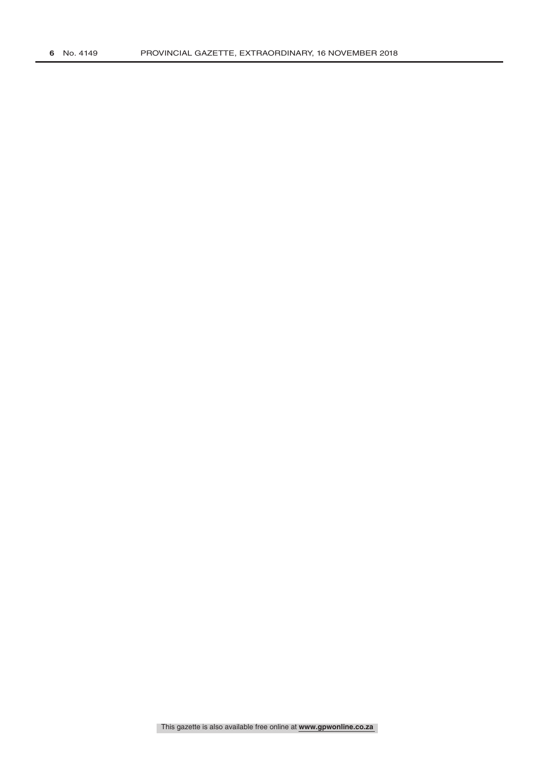This gazette is also available free online at **www.gpwonline.co.za**